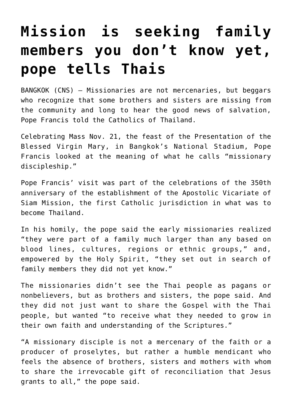## **[Mission is seeking family](https://www.osvnews.com/2019/11/21/mission-is-seeking-family-members-you-dont-know-yet-pope-tells-thais/) [members you don't know yet,](https://www.osvnews.com/2019/11/21/mission-is-seeking-family-members-you-dont-know-yet-pope-tells-thais/) [pope tells Thais](https://www.osvnews.com/2019/11/21/mission-is-seeking-family-members-you-dont-know-yet-pope-tells-thais/)**

BANGKOK (CNS) — Missionaries are not mercenaries, but beggars who recognize that some brothers and sisters are missing from the community and long to hear the good news of salvation, Pope Francis told the Catholics of Thailand.

Celebrating Mass Nov. 21, the feast of the Presentation of the Blessed Virgin Mary, in Bangkok's National Stadium, Pope Francis looked at the meaning of what he calls "missionary discipleship."

Pope Francis' visit was part of the celebrations of the 350th anniversary of the establishment of the Apostolic Vicariate of Siam Mission, the first Catholic jurisdiction in what was to become Thailand.

In his homily, the pope said the early missionaries realized "they were part of a family much larger than any based on blood lines, cultures, regions or ethnic groups," and, empowered by the Holy Spirit, "they set out in search of family members they did not yet know."

The missionaries didn't see the Thai people as pagans or nonbelievers, but as brothers and sisters, the pope said. And they did not just want to share the Gospel with the Thai people, but wanted "to receive what they needed to grow in their own faith and understanding of the Scriptures."

"A missionary disciple is not a mercenary of the faith or a producer of proselytes, but rather a humble mendicant who feels the absence of brothers, sisters and mothers with whom to share the irrevocable gift of reconciliation that Jesus grants to all," the pope said.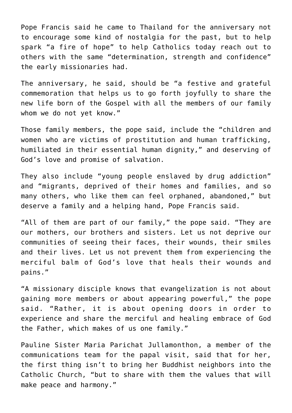Pope Francis said he came to Thailand for the anniversary not to encourage some kind of nostalgia for the past, but to help spark "a fire of hope" to help Catholics today reach out to others with the same "determination, strength and confidence" the early missionaries had.

The anniversary, he said, should be "a festive and grateful commemoration that helps us to go forth joyfully to share the new life born of the Gospel with all the members of our family whom we do not yet know."

Those family members, the pope said, include the "children and women who are victims of prostitution and human trafficking, humiliated in their essential human dignity," and deserving of God's love and promise of salvation.

They also include "young people enslaved by drug addiction" and "migrants, deprived of their homes and families, and so many others, who like them can feel orphaned, abandoned," but deserve a family and a helping hand, Pope Francis said.

"All of them are part of our family," the pope said. "They are our mothers, our brothers and sisters. Let us not deprive our communities of seeing their faces, their wounds, their smiles and their lives. Let us not prevent them from experiencing the merciful balm of God's love that heals their wounds and pains."

"A missionary disciple knows that evangelization is not about gaining more members or about appearing powerful," the pope said. "Rather, it is about opening doors in order to experience and share the merciful and healing embrace of God the Father, which makes of us one family."

Pauline Sister Maria Parichat Jullamonthon, a member of the communications team for the papal visit, said that for her, the first thing isn't to bring her Buddhist neighbors into the Catholic Church, "but to share with them the values that will make peace and harmony."